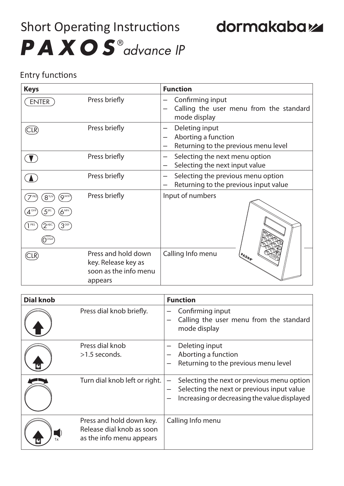## Short Operating Instructions PAXOS<sup>®</sup>advance IP

## dormakabaz

## Entry functions

| <b>Keys</b>                                                         |                                                                                | <b>Function</b>                                                                  |
|---------------------------------------------------------------------|--------------------------------------------------------------------------------|----------------------------------------------------------------------------------|
| <b>ENTER</b>                                                        | Press briefly                                                                  | Confirming input<br>Calling the user menu from the standard<br>mode display      |
| CLR)                                                                | Press briefly                                                                  | Deleting input<br>Aborting a function<br>Returning to the previous menu level    |
|                                                                     | Press briefly                                                                  | Selecting the next menu option<br>Selecting the next input value                 |
|                                                                     | Press briefly                                                                  | Selecting the previous menu option<br>Returning to the previous input value      |
| $8^{\text{TW}}$<br>Q <sup>WXY</sup><br>$6^{\text{MN}}$<br>$3^{DEF}$ | Press briefly                                                                  | Input of numbers                                                                 |
|                                                                     | Press and hold down<br>key. Release key as<br>soon as the info menu<br>appears | Calling Info menu<br>$\iota^{\rho_{\mathcal{A}}}_{\mathcal{X}_{\mathbb{O}_{g}}}$ |

| <b>Dial knob</b> |                                                                                   | <b>Function</b>                                                                                                                          |  |
|------------------|-----------------------------------------------------------------------------------|------------------------------------------------------------------------------------------------------------------------------------------|--|
|                  | Press dial knob briefly.                                                          | Confirming input<br>Calling the user menu from the standard<br>mode display                                                              |  |
|                  | Press dial knob<br>$>1.5$ seconds.                                                | Deleting input<br>Aborting a function<br>Returning to the previous menu level                                                            |  |
|                  | Turn dial knob left or right.                                                     | Selecting the next or previous menu option<br>Selecting the next or previous input value<br>Increasing or decreasing the value displayed |  |
|                  | Press and hold down key.<br>Release dial knob as soon<br>as the info menu appears | Calling Info menu                                                                                                                        |  |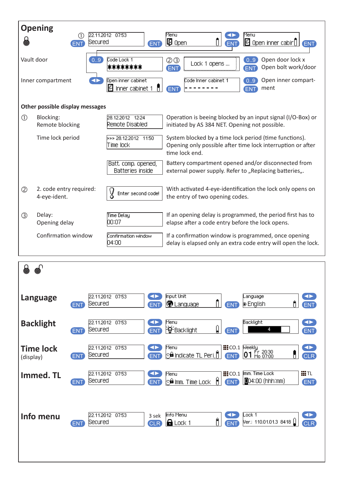| <b>Opening</b> |                                         |                      |                                         |                                                                                                                                         |  |  |  |
|----------------|-----------------------------------------|----------------------|-----------------------------------------|-----------------------------------------------------------------------------------------------------------------------------------------|--|--|--|
|                | (1)<br><b>ENT</b>                       | Secured              | 22.11.2012 07:53<br><b>ENT</b>          | Menu<br>Menu<br>$\vert \mathbf{F} \vert$ Open<br><b>B</b> Open inner cabir $\begin{bmatrix} 1 & 1 \end{bmatrix}$<br>ENT                 |  |  |  |
|                | Vault door                              | $\left[0.9\right]$   | Code Lock 1<br>********                 | Open door lock x<br>0.9<br>Lock 1 opens<br>Open bolt work/door<br><b>ENT</b><br>ENT                                                     |  |  |  |
|                | Inner compartment                       | $\blacktriangleleft$ | Open inner cabinet<br>Inner cabinet 1   | Open inner compart-<br>Code Inner cabinet 1<br>0.9<br>ment<br>ENT<br>ENT                                                                |  |  |  |
|                | Other possible display messages         |                      |                                         |                                                                                                                                         |  |  |  |
| $\circled{1}$  | Blocking:<br>Remote blocking            |                      | 28.12.2012 12:24<br>Remote Disabled     | Operation is beeing blocked by an input signal (I/O-Box) or<br>initiated by AS 384 NET. Opening not possible.                           |  |  |  |
|                | Time lock period                        |                      | >>> 28.12.2012 11:50<br>Time lock       | System blocked by a time lock period (time functions).<br>Opening only possible after time lock interruption or after<br>time lock end. |  |  |  |
|                |                                         |                      | Batt, comp, opened,<br>Batteries inside | Battery compartment opened and/or disconnected from<br>external power supply. Refer to "Replacing batteries".                           |  |  |  |
| $\circled{2}$  | 2. code entry required:<br>4-eye-ident. |                      | У<br>Enter second code!                 | With activated 4-eye-identification the lock only opens on<br>the entry of two opening codes.                                           |  |  |  |
| ③              | Delay:<br>Opening delay                 |                      | <b>Time Delay</b><br>00:07              | If an opening delay is programmed, the period first has to<br>elapse after a code entry before the lock opens.                          |  |  |  |
|                | Confirmation window                     |                      | Confirmation window<br>04:00            | If a confirmation window is programmed, once opening<br>delay is elapsed only an extra code entry will open the lock.                   |  |  |  |

| $\circledcirc$<br>6           |                                                                                                                                                                                                                                       |
|-------------------------------|---------------------------------------------------------------------------------------------------------------------------------------------------------------------------------------------------------------------------------------|
| Language                      | <b>Input Unit</b><br>22.11.2012 07:53<br>$\blacktriangleleft\blacktriangleright$<br>$\blacktriangleleft\blacktriangleright$<br>Language<br><b>D</b> Language<br>ñ.<br>Secured<br>$\circ$ English<br>END<br>ENT<br>ENT<br><b>ENT</b>   |
| <b>Backlight</b>              | Backlight<br>$\blacklozenge$<br>22.11.2012 07:53<br>Menu<br>$\blacktriangleleft$<br><sup></sup> ਊ-Backlight<br>Secured<br>4<br>ENT<br>U<br>ENT<br><b>ENT</b><br><b>ENT</b>                                                            |
| <b>Time lock</b><br>(display) | <b>III</b> CO.1 Weekly<br>22.11.2012 07:53<br><b>CLR</b><br>$\blacktriangleleft\blacktriangleright$<br>Menu<br>Fr 20:30<br>Mo 07:00<br>01<br><u>କ୍ତି Indicate TL Peri</u> . <mark>(</mark> ) ।<br>Secured<br>ENT<br>ENT<br><b>ENT</b> |
| Immed. TL                     | iiiTL<br>$\mathbf{H}$ CO.1<br>Imm. Time Lock<br>22.11.2012 07:53<br>$\blacktriangleleft$<br>Menu<br>$\circ$ imm. Time Lock $\theta$<br>004:00 (hhh:mm)<br>Secured<br>ENT<br>ENT<br><b>ENT</b><br><b>ENT</b>                           |
| Info menu                     | Info Menu<br>22.11.2012 07:53<br>Lock 1<br>$\blacktriangleleft$<br>CLR <sup></sup><br>3 sek<br>ĥ<br>Ver.: 110.01.01.3 8418 [<br>Secured<br>$\bigoplus$ Lock 1<br>ENT<br><b>ENT</b><br><b>CLR</b>                                      |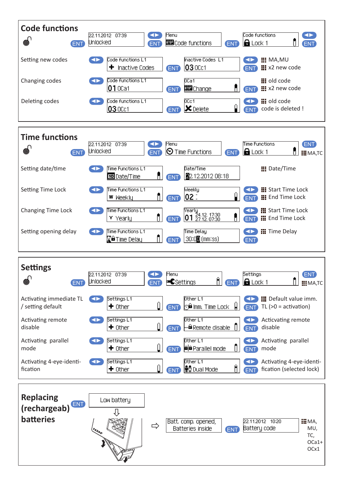